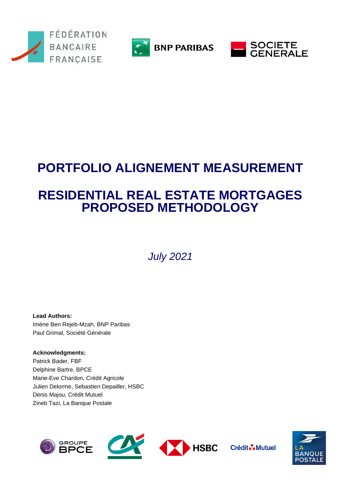



**BNP PARIBAS** 



# **PORTFOLIO ALIGNEMENT MEASUREMENT**

## **RESIDENTIAL REAL ESTATE MORTGAGES PROPOSED METHODOLOGY**

*July 2021*

**Lead Authors:**  Imène Ben Rejeb-Mzah, BNP Paribas Paul Grimal, Société Générale

**Acknowledgments:** Patrick Bader, FBF Delphine Bartre, BPCE Marie-Eve Chardon, Crédit Agricole Julien Delorme, Sebastien Depailler, HSBC Denis Majou, Crédit Mutuel Zineb Tazi, La Banque Postale



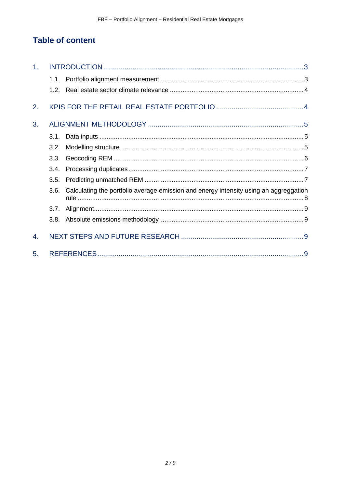## **Table of content**

| 1. |                  |                                                                                       |
|----|------------------|---------------------------------------------------------------------------------------|
|    |                  |                                                                                       |
|    | 1.2 <sub>1</sub> |                                                                                       |
| 2. |                  |                                                                                       |
| 3. |                  |                                                                                       |
|    | 3.1.             |                                                                                       |
|    | 3.2.             |                                                                                       |
|    | 3.3.             |                                                                                       |
|    | 3.4.             |                                                                                       |
|    | 3.5.             |                                                                                       |
|    | 3.6.             | Calculating the portfolio average emission and energy intensity using an aggreggation |
|    | 3.7.             |                                                                                       |
|    |                  |                                                                                       |
| 4. |                  |                                                                                       |
| 5. |                  |                                                                                       |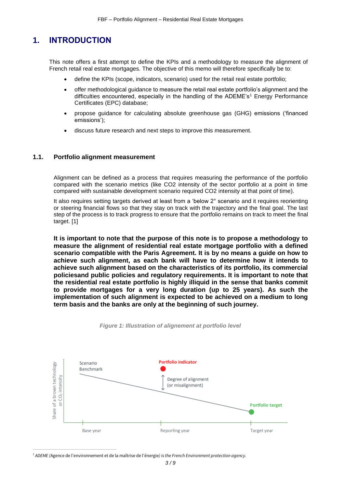### <span id="page-2-0"></span>**1. INTRODUCTION**

This note offers a first attempt to define the KPIs and a methodology to measure the alignment of French retail real estate mortgages. The objective of this memo will therefore specifically be to:

- define the KPIs (scope, indicators, scenario) used for the retail real estate portfolio;
- offer methodological guidance to measure the retail real estate portfolio's alignment and the difficulties encountered, especially in the handling of the ADEME's<sup>1</sup> Energy Performance Certificates (EPC) database;
- propose guidance for calculating absolute greenhouse gas (GHG) emissions ('financed emissions');
- discuss future research and next steps to improve this measurement.

#### <span id="page-2-1"></span>**1.1. Portfolio alignment measurement**

Alignment can be defined as a process that requires measuring the performance of the portfolio compared with the scenario metrics (like CO2 intensity of the sector portfolio at a point in time compared with sustainable development scenario required CO2 intensity at that point of time).

It also requires setting targets derived at least from a 'below 2° scenario and it requires reorienting or steering financial flows so that they stay on track with the trajectory and the final goal. The last step of the process is to track progress to ensure that the portfolio remains on track to meet the final target. [1]

**It is important to note that the purpose of this note is to propose a methodology to measure the alignment of residential real estate mortgage portfolio with a defined scenario compatible with the Paris Agreement. It is by no means a guide on how to achieve such alignment, as each bank will have to determine how it intends to achieve such alignment based on the characteristics of its portfolio, its commercial policiesand public policies and regulatory requirements. It is important to note that the residential real estate portfolio is highly illiquid in the sense that banks commit to provide mortgages for a very long duration (up to 25 years). As such the implementation of such alignment is expected to be achieved on a medium to long term basis and the banks are only at the beginning of such journey.**



*Figure 1: Illustration of alignement at portfolio level*

*<sup>1</sup> ADEME (*Agence de l'environnement et de la maîtrise de l'énergie*) is the French Environment protection agency.*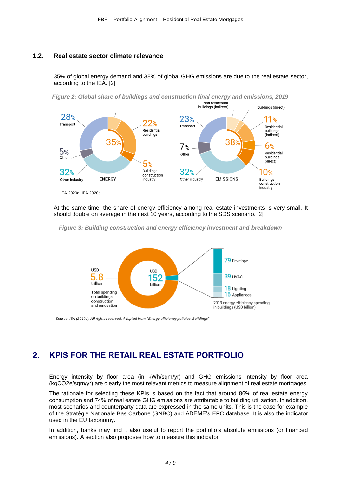#### <span id="page-3-0"></span>**1.2. Real estate sector climate relevance**

35% of global energy demand and 38% of global GHG emissions are due to the real estate sector, according to the IEA. [2]



At the same time, the share of energy efficiency among real estate investments is very small. It should double on average in the next 10 years, according to the SDS scenario. [2]





Source: IEA (2019b). All rights reserved. Adapted from "Energy efficiency policies: Buildings"

## <span id="page-3-1"></span>**2. KPIS FOR THE RETAIL REAL ESTATE PORTFOLIO**

Energy intensity by floor area (in kWh/sqm/yr) and GHG emissions intensity by floor area (kgCO2e/sqm/yr) are clearly the most relevant metrics to measure alignment of real estate mortgages.

The rationale for selecting these KPIs is based on the fact that around 86% of real estate energy consumption and 74% of real estate GHG emissions are attributable to building utilisation. In addition, most scenarios and counterparty data are expressed in the same units. This is the case for example of the Stratégie Nationale Bas Carbone (SNBC) and ADEME's EPC database. It is also the indicator used in the EU taxonomy.

In addition, banks may find it also useful to report the portfolio's absolute emissions (or financed emissions). A section also proposes how to measure this indicator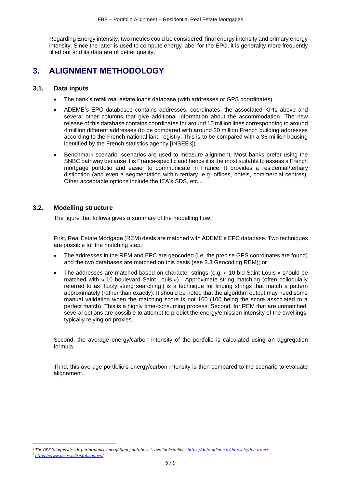Regarding Energy intensity, two metrics could be considered: final energy intensity and primary energy intensity. Since the latter is used to compute energy label for the EPC, it is generallty more frequently filled out and its data are of better quality.

## <span id="page-4-0"></span>**3. ALIGNMENT METHODOLOGY**

#### <span id="page-4-1"></span>**3.1. Data inputs**

- The bank's retail real estate loans database (with addresses or GPS coordinates)
- ADEME's EPC database2 contains addresses, coordinates, the associated KPIs above and several other columns that give additional information about the accommodation. The new release of this database contains coordinates for around 10 million lines corresponding to around 4 million different addresses (to be compared with around 20 million French building addresses according to the French national land registry. This is to be compared with a 36 million housing identified by the French statistics agency [INSEE3])
- Benchmark scenario: scenarios are used to measure alignment. Most banks prefer using the SNBC pathway because it is France-specific and hence it is the most suitable to assess a French mortgage portfolio and easier to communicate in France. It provides a residential/tertiary distinction (and even a segmentation within tertiary, e.g. offices, hotels, commercial centres). Other acceptable options include the IEA's SDS, etc…

#### <span id="page-4-2"></span>**3.2. Modelling structure**

The figure that follows gives a summary of the modelling flow.

First, Real Estate Mortgage (REM) deals are matched with ADEME's EPC database. Two techniques are possible for the matching step:

- The addresses in the REM and EPC are geocoded (i.e. the precise GPS coordinates are found) and the two databases are matched on this basis (see 3.3 Geocoding REM); or
- The addresses are matched based on character strings (e.g. « 10 bld Saint Louis » should be matched with « 10 boulevard Saint Louis »). Approximate string matching (often colloquially referred to as 'fuzzy string searching') is a technique for finding strings that match a pattern approximately (rather than exactly). It should be noted that the algorithm output may need some manual validation when the matching score is not 100 (100 being the score associated to a perfect match). This is a highly time-consuming process. Second, for REM that are unmatched, several options are possible to attempt to predict the energy/emission intensity of the dwellings, typically relying on proxies.

Second, the average energy/carbon intensity of the portfolio is calculated using an aggregation formula.

Third, this average portfolio's energy/carbon intensity is then compared to the scenario to evaluate alignement.

*<sup>2</sup> The DPE (diagnostics de performance énergétique) database is available online:<https://data.ademe.fr/datasets/dpe-france>*

*<sup>3</sup> [https://www.insee.fr/fr/statistiques/](https://www.insee.fr/fr/statistiques/4985385#:~:text=Au%201%E1%B5%89%CA%B3%20janvier%202020%2C%20la%20France%20m%C3%A9tropolitaine%20compte%2036%2C1,de%20logements%20suppl%C3%A9mentaires%20depuis%201982.)*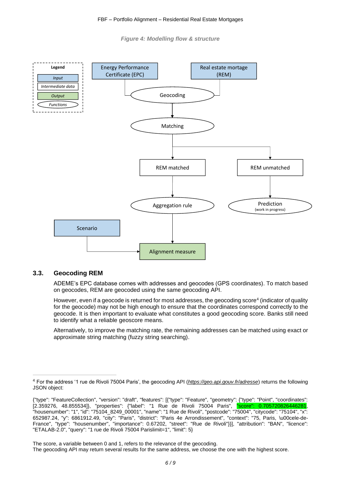*Figure 4: Modelling flow & structure*



#### <span id="page-5-0"></span>**3.3. Geocoding REM**

ADEME's EPC database comes with addresses and geocodes (GPS coordinates). To match based on geocodes, REM are geocoded using the same geocoding API.

However, even if a geocode is returned for most addresses, the geocoding score<sup>4</sup> (indicator of quality for the geocode) may not be high enough to ensure that the coordinates correspond correctly to the geocode. It is then important to evaluate what constitutes a good geocoding score. Banks still need to identify what a reliable geoscore means.

Alternatively, to improve the matching rate, the remaining addresses can be matched using exact or approximate string matching (fuzzy string searching).

The score, a variable between 0 and 1, refers to the relevance of the geocoding.

<sup>4</sup> For the address '1 rue de Rivoli 75004 Paris', the geocoding API (*https://geo.api.gouv.fr/adresse*) returns the following JSON object:

<sup>{&</sup>quot;type": "FeatureCollection", "version": "draft", "features": [{"type": "Feature", "geometry": {"type": "Point", "coordinates": [2.359276, 48.855534]}, "properties": {"label": "1 Rue de Rivoli 75004 Paris", "score": 0.705720826446281, "housenumber": "1", "id": "75104\_8249\_00001", "name": "1 Rue de Rivoli", "postcode": "75004", "citycode": "75104", "x": 652987.24, "y": 6861912.49, "city": "Paris", "district": "Paris 4e Arrondissement", "context": "75, Paris, \u00cele-de-France", "type": "housenumber", "importance": 0.67202, "street": "Rue de Rivoli"}}], "attribution": "BAN", "licence": "ETALAB-2.0", "query": "1 rue de Rivoli 75004 Parislimit=1", "limit": 5}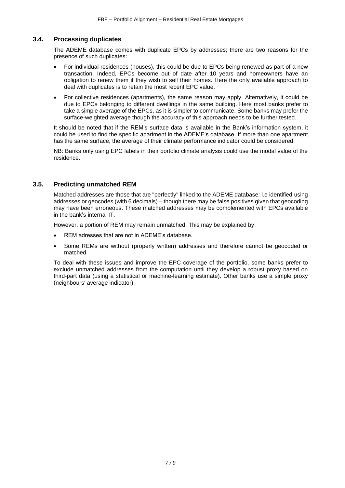#### <span id="page-6-0"></span>**3.4. Processing duplicates**

The ADEME database comes with duplicate EPCs by addresses; there are two reasons for the presence of such duplicates:

- For individual residences (houses), this could be due to EPCs being renewed as part of a new transaction. Indeed, EPCs become out of date after 10 years and homeowners have an obligation to renew them if they wish to sell their homes. Here the only available approach to deal with duplicates is to retain the most recent EPC value.
- For collective residences (apartments), the same reason may apply. Alternatively, it could be due to EPCs belonging to different dwellings in the same building. Here most banks prefer to take a simple average of the EPCs, as it is simpler to communicate. Some banks may prefer the surface-weighted average though the accuracy of this approach needs to be further tested.

It should be noted that if the REM's surface data is available in the Bank's information system, it could be used to find the specific apartment in the ADEME's database. If more than one apartment has the same surface, the average of their climate performance indicator could be considered.

NB: Banks only using EPC labels in their portolio climate analysis could use the modal value of the residence.

#### <span id="page-6-1"></span>**3.5. Predicting unmatched REM**

Matched addresses are those that are "perfectly" linked to the ADEME database: i.e identified using addresses or geocodes (with 6 decimals) – though there may be false positives given that geocoding may have been erroneous. These matched addresses may be complemented with EPCs available in the bank's internal IT.

However, a portion of REM may remain unmatched. This may be explained by:

- REM adresses that are not in ADEME's database.
- Some REMs are without (properly written) addresses and therefore cannot be geocoded or matched.

<span id="page-6-2"></span>To deal with these issues and improve the EPC coverage of the portfolio, some banks prefer to exclude unmatched addresses from the computation until they develop a robust proxy based on third-part data (using a statistical or machine-learning estimate). Other banks use a simple proxy (neighbours' average indicator).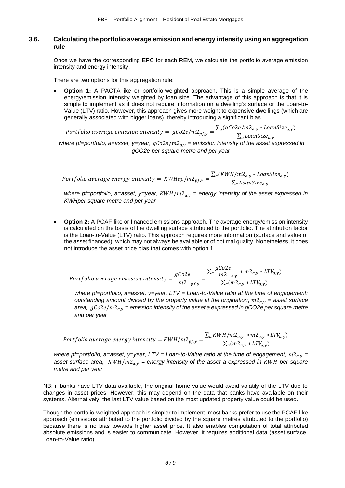#### **3.6. Calculating the portfolio average emission and energy intensity using an aggregation rule**

Once we have the corresponding EPC for each REM, we calculate the portfolio average emission intensity and energy intensity.

There are two options for this aggregation rule:

**Option 1:** A PACTA-like or portfolio-weighted approach. This is a simple average of the energy/emission intensity weighted by loan size. The advantage of this approach is that it is simple to implement as it does not require information on a dwelling's surface or the Loan-to-Value (LTV) ratio. However, this approach gives more weight to expensive dwellings (which are generally associated with bigger loans), thereby introducing a significant bias.

Portfolio average emission intensity =  $gCo2e/m2_{pf,y} = \frac{\sum_a (gCo2e/m2_{a,y} * IoanSize_{a,y})}{\sum_{a} Log2e/m2_{f,av}}$  $\sum_a LoanSize_{a,y}$ *where pf=portfolio, a=asset, y=year,* 2/2, *= emission intensity of the asset expressed in gCO2e per square metre and per year* 

Portfolio average energy intensity =  $KWHep/m2_{pf,y} = \frac{\sum_a (KWH/m2_{a,y} * LaanSize_{a,y})}{\sum_a LaanSize_a}$  $\sum_a$  LoanSize $_{a,y}$ 

*where pf=portfolio, a=asset, y=year,*  $KWH/m2_{a,v}$  *= energy intensity of the asset expressed in KWHper square metre and per year* 

• **Option 2:** A PCAF-like or financed emissions approach. The average energy/emission intensity is calculated on the basis of the dwelling surface attributed to the portfolio. The attribution factor is the Loan-to-Value (LTV) ratio. This approach requires more information (surface and value of the asset financed), which may not always be available or of optimal quality. Nonetheless, it does not introduce the asset price bias that comes with option 1.

$$
Portfolio average emission intensity = \frac{gCo2e}{m2}_{pf,y} = \frac{\sum_{a} \frac{gCo2e}{m2}_{a,y} * m2_{a,y} * LTV_{a,y})}{\sum_{a} (m2_{a,y} * LTV_{a,y})}
$$

*where pf=portfolio, a=asset, y=year, LTV = Loan-to-Value ratio at the time of engagement: outstanding amount divided by the property value at the origination,*  $m2_{av}$  = asset surface *area,*  $gCo2e/m2_{av}$  *= emission intensity of the asset a expressed in gCO2e per square metre and per year* 

$$
Portfolio average energy intensity = KWH/m2_{pf,y} = \frac{\sum_{a} KWH/m2_{a,y} * m2_{a,y} * LTV_{a,y}}{\sum_{a} (m2_{a,y} * LTV_{a,y})}
$$

*where pf=portfolio, a=asset, y=year, LTV = Loan-to-Value ratio at the time of engagement,*  $m2_{a,v}$  *=* asset surface area,  $KWH/m2_{a,v}$  = energy intensity of the asset a expressed in  $KWH$  per square *metre and per year* 

NB: if banks have LTV data available, the original home value would avoid volatily of the LTV due to changes in asset prices. However, this may depend on the data that banks have available on their systems. Alternatively, the last LTV value based on the most updated property value could be used.

Though the portfolio-weighted approach is simpler to implement, most banks prefer to use the PCAF-like approach (emissions attributed to the portfolio divided by the square metres attributed to the portfolio) because there is no bias towards higher asset price. It also enables computation of total attributed absolute emissions and is easier to communicate. However, it requires additional data (asset surface, Loan-to-Value ratio).